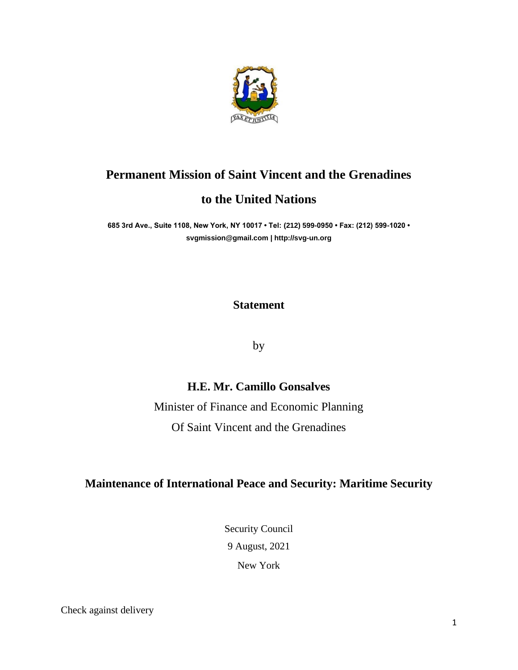

# **Permanent Mission of Saint Vincent and the Grenadines**

## **to the United Nations**

**685 3rd Ave., Suite 1108, New York, NY 10017 • Tel: (212) 599-0950 • Fax: (212) 599-1020 • [svgmission@gmail.com](mailto:svgmission@gmail.com) [| http://svg-un.org](http://svg-un.org/)**

#### **Statement**

by

### **H.E. Mr. Camillo Gonsalves**

Minister of Finance and Economic Planning Of Saint Vincent and the Grenadines

#### **Maintenance of International Peace and Security: Maritime Security**

Security Council 9 August, 2021

New York

Check against delivery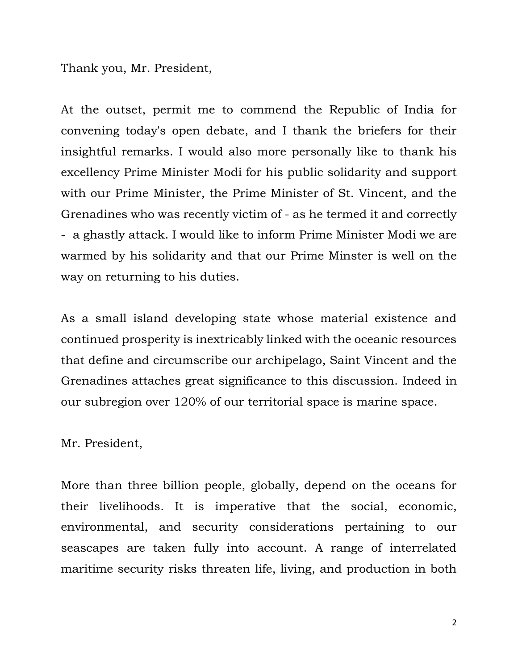Thank you, Mr. President,

At the outset, permit me to commend the Republic of India for convening today's open debate, and I thank the briefers for their insightful remarks. I would also more personally like to thank his excellency Prime Minister Modi for his public solidarity and support with our Prime Minister, the Prime Minister of St. Vincent, and the Grenadines who was recently victim of - as he termed it and correctly - a ghastly attack. I would like to inform Prime Minister Modi we are warmed by his solidarity and that our Prime Minster is well on the way on returning to his duties.

As a small island developing state whose material existence and continued prosperity is inextricably linked with the oceanic resources that define and circumscribe our archipelago, Saint Vincent and the Grenadines attaches great significance to this discussion. Indeed in our subregion over 120% of our territorial space is marine space.

Mr. President,

More than three billion people, globally, depend on the oceans for their livelihoods. It is imperative that the social, economic, environmental, and security considerations pertaining to our seascapes are taken fully into account. A range of interrelated maritime security risks threaten life, living, and production in both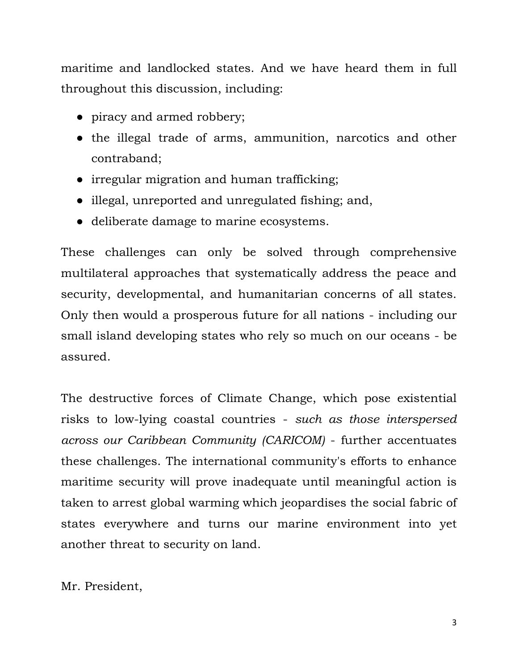maritime and landlocked states. And we have heard them in full throughout this discussion, including:

- piracy and armed robbery;
- the illegal trade of arms, ammunition, narcotics and other contraband;
- irregular migration and human trafficking;
- illegal, unreported and unregulated fishing; and,
- deliberate damage to marine ecosystems.

These challenges can only be solved through comprehensive multilateral approaches that systematically address the peace and security, developmental, and humanitarian concerns of all states. Only then would a prosperous future for all nations - including our small island developing states who rely so much on our oceans - be assured.

The destructive forces of Climate Change, which pose existential risks to low-lying coastal countries - *such as those interspersed across our Caribbean Community (CARICOM)* - further accentuates these challenges. The international community's efforts to enhance maritime security will prove inadequate until meaningful action is taken to arrest global warming which jeopardises the social fabric of states everywhere and turns our marine environment into yet another threat to security on land.

Mr. President,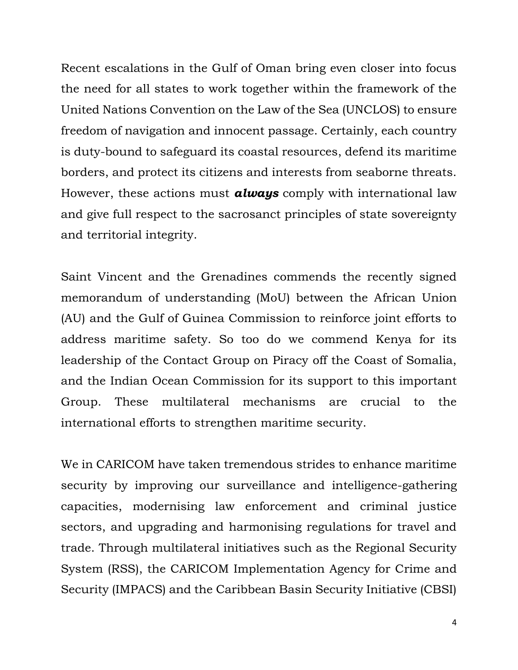Recent escalations in the Gulf of Oman bring even closer into focus the need for all states to work together within the framework of the United Nations Convention on the Law of the Sea (UNCLOS) to ensure freedom of navigation and innocent passage. Certainly, each country is duty-bound to safeguard its coastal resources, defend its maritime borders, and protect its citizens and interests from seaborne threats. However, these actions must *always* comply with international law and give full respect to the sacrosanct principles of state sovereignty and territorial integrity.

Saint Vincent and the Grenadines commends the recently signed memorandum of understanding (MoU) between the African Union (AU) and the Gulf of Guinea Commission to reinforce joint efforts to address maritime safety. So too do we commend Kenya for its leadership of the Contact Group on Piracy off the Coast of Somalia, and the Indian Ocean Commission for its support to this important Group. These multilateral mechanisms are crucial to the international efforts to strengthen maritime security.

We in CARICOM have taken tremendous strides to enhance maritime security by improving our surveillance and intelligence-gathering capacities, modernising law enforcement and criminal justice sectors, and upgrading and harmonising regulations for travel and trade. Through multilateral initiatives such as the Regional Security System (RSS), the CARICOM Implementation Agency for Crime and Security (IMPACS) and the Caribbean Basin Security Initiative (CBSI)